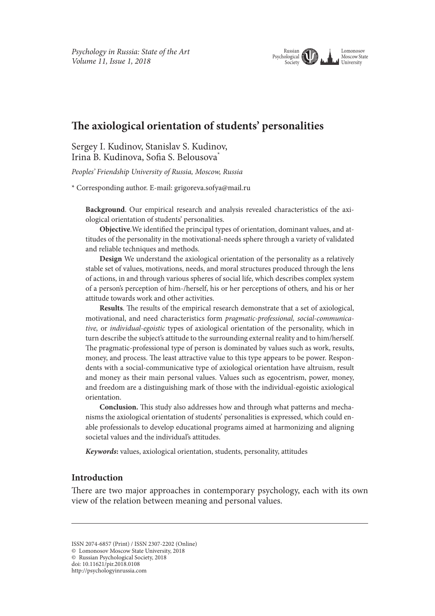#### Lomonosov Moscow State **University** Russian Psychological Society

# **Te axiological orientation of students' personalities**

Sergey I. Kudinov, Stanislav S. Kudinov, Irina B. Kudinova, Sofa S. Belousova\*

*Peoples' Friendship University of Russia, Moscow, Russia*

\* Corresponding author. E-mail: grigoreva.sofya@mail.ru

**Background**. Our empirical research and analysis revealed characteristics of the axiological orientation of students' personalities.

**Objective**.We identifed the principal types of orientation, dominant values, and attitudes of the personality in the motivational-needs sphere through a variety of validated and reliable techniques and methods.

**Design** We understand the axiological orientation of the personality as a relatively stable set of values, motivations, needs, and moral structures produced through the lens of actions, in and through various spheres of social life, which describes complex system of a person's perception of him-/herself, his or her perceptions of others*,* and his or her attitude towards work and other activities.

**Results**. The results of the empirical research demonstrate that a set of axiological, motivational, and need characteristics form *pragmatic-professional, social-communicative,* or *individual-egoistic* types of axiological orientation of the personality, which in turn describe the subject's attitude to the surrounding external reality and to him/herself. The pragmatic-professional type of person is dominated by values such as work, results, money, and process. The least attractive value to this type appears to be power. Respondents with a social-communicative type of axiological orientation have altruism, result and money as their main personal values. Values such as egocentrism, power, money, and freedom are a distinguishing mark of those with the individual-egoistic axiological orientation.

**Conclusion.** This study also addresses how and through what patterns and mechanisms the axiological orientation of students' personalities is expressed, which could enable professionals to develop educational programs aimed at harmonizing and aligning societal values and the individual's attitudes.

*Keywords***:** values, axiological orientation, students, personality, attitudes

## **Introduction**

There are two major approaches in contemporary psychology, each with its own view of the relation between meaning and personal values.

ISSN 2074-6857 (Print) / ISSN 2307-2202 (Online)

<sup>©</sup> Lomonosov Moscow State University, 2018

<sup>©</sup> Russian Psychological Society, 2018 doi: 10.11621/pir.2018.0108

http://psychologyinrussia.com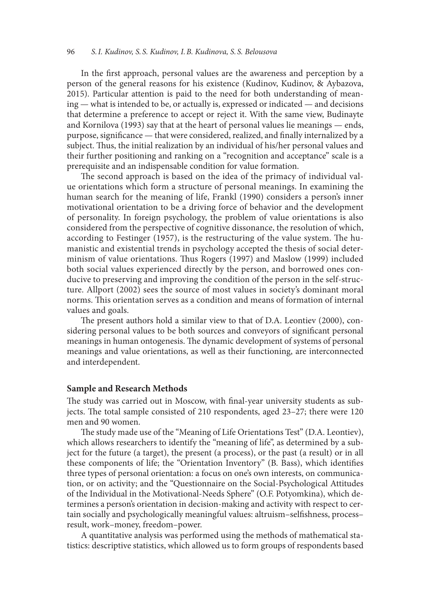In the frst approach, personal values are the awareness and perception by a person of the general reasons for his existence (Kudinov, Kudinov, & Aybazova, 2015). Particular attention is paid to the need for both understanding of meaning — what is intended to be, or actually is, expressed or indicated — and decisions that determine a preference to accept or reject it. With the same view, Budinayte and Kornilova (1993) say that at the heart of personal values lie meanings — ends, purpose, signifcance — that were considered, realized, and fnally internalized by a subject. Thus, the initial realization by an individual of his/her personal values and their further positioning and ranking on a "recognition and acceptance" scale is a prerequisite and an indispensable condition for value formation.

The second approach is based on the idea of the primacy of individual value orientations which form a structure of personal meanings. In examining the human search for the meaning of life, Frankl (1990) considers a person's inner motivational orientation to be a driving force of behavior and the development of personality. In foreign psychology, the problem of value orientations is also considered from the perspective of cognitive dissonance, the resolution of which, according to Festinger (1957), is the restructuring of the value system. The humanistic and existential trends in psychology accepted the thesis of social determinism of value orientations. Thus Rogers (1997) and Maslow (1999) included both social values experienced directly by the person, and borrowed ones conducive to preserving and improving the condition of the person in the self-structure. Allport (2002) sees the source of most values in society's dominant moral norms. This orientation serves as a condition and means of formation of internal values and goals.

The present authors hold a similar view to that of D.A. Leontiev (2000), considering personal values to be both sources and conveyors of signifcant personal meanings in human ontogenesis. The dynamic development of systems of personal meanings and value orientations, as well as their functioning, are interconnected and interdependent.

#### **Sample and Research Methods**

The study was carried out in Moscow, with final-year university students as subjects. The total sample consisted of 210 respondents, aged 23-27; there were 120 men and 90 women.

The study made use of the "Meaning of Life Orientations Test" (D.A. Leontiev), which allows researchers to identify the "meaning of life", as determined by a subject for the future (a target), the present (a process), or the past (a result) or in all these components of life; the "Orientation Inventory" (B. Bass), which identifes three types of personal orientation: a focus on one's own interests, on communication, or on activity; and the "Questionnaire on the Social-Psychological Attitudes of the Individual in the Motivational-Needs Sphere" (O.F. Potyomkina), which determines a person's orientation in decision-making and activity with respect to certain socially and psychologically meaningful values: altruism–selfshness, process– result, work–money, freedom–power.

A quantitative analysis was performed using the methods of mathematical statistics: descriptive statistics, which allowed us to form groups of respondents based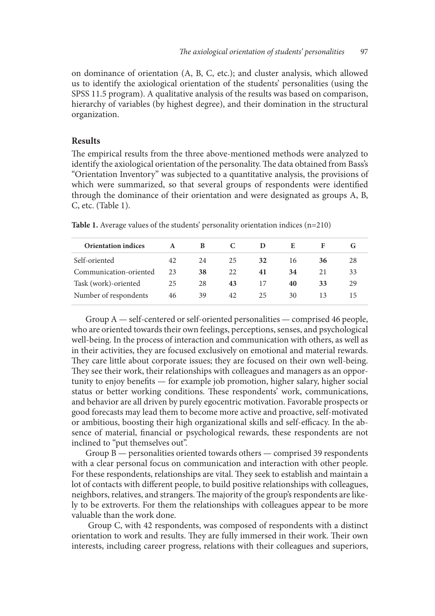on dominance of orientation (A, B, C, etc.); and cluster analysis, which allowed us to identify the axiological orientation of the students' personalities (using the SPSS 11.5 program). A qualitative analysis of the results was based on comparison, hierarchy of variables (by highest degree), and their domination in the structural organization.

#### **Results**

The empirical results from the three above-mentioned methods were analyzed to identify the axiological orientation of the personality. The data obtained from Bass's "Orientation Inventory" was subjected to a quantitative analysis, the provisions of which were summarized, so that several groups of respondents were identifed through the dominance of their orientation and were designated as groups A, B, C, etc. (Table 1).

| <b>Orientation indices</b> | A  | B  |    | $\blacksquare$ | Е. | F  |    |
|----------------------------|----|----|----|----------------|----|----|----|
| Self-oriented              | 42 | 24 | 25 | 32             | 16 | 36 | 28 |
| Communication-oriented     | 23 | 38 | 22 | 41             | 34 | 21 | 33 |
| Task (work)-oriented       | 25 | 28 | 43 | 17             | 40 | 33 | 29 |
| Number of respondents      | 46 | 39 | 42 | 25             | 30 | 13 |    |

**Table 1.** Average values of the students' personality orientation indices (n=210)

Group A — self-centered or self-oriented personalities — comprised 46 people, who are oriented towards their own feelings, perceptions, senses, and psychological well-being. In the process of interaction and communication with others, as well as in their activities, they are focused exclusively on emotional and material rewards. They care little about corporate issues; they are focused on their own well-being. They see their work, their relationships with colleagues and managers as an opportunity to enjoy benefts — for example job promotion, higher salary, higher social status or better working conditions. These respondents' work, communications, and behavior are all driven by purely egocentric motivation. Favorable prospects or good forecasts may lead them to become more active and proactive, self-motivated or ambitious, boosting their high organizational skills and self-efficacy. In the absence of material, fnancial or psychological rewards, these respondents are not inclined to "put themselves out".

Group B — personalities oriented towards others — comprised 39 respondents with a clear personal focus on communication and interaction with other people. For these respondents, relationships are vital. They seek to establish and maintain a lot of contacts with diferent people, to build positive relationships with colleagues, neighbors, relatives, and strangers. The majority of the group's respondents are likely to be extroverts. For them the relationships with colleagues appear to be more valuable than the work done.

 Group C, with 42 respondents, was composed of respondents with a distinct orientation to work and results. They are fully immersed in their work. Their own interests, including career progress, relations with their colleagues and superiors,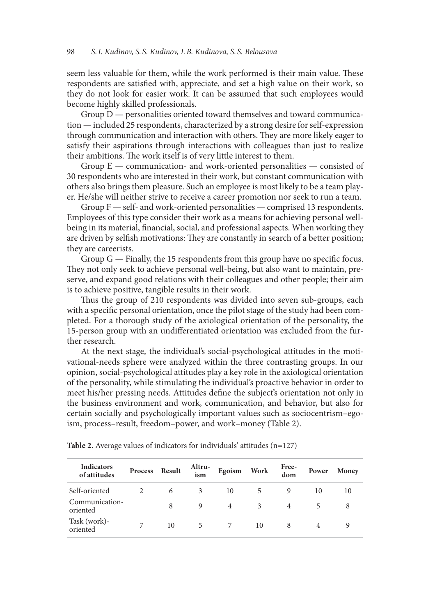seem less valuable for them, while the work performed is their main value. These respondents are satisfed with, appreciate, and set a high value on their work, so they do not look for easier work. It can be assumed that such employees would become highly skilled professionals.

Group D — personalities oriented toward themselves and toward communication — included 25 respondents, characterized by a strong desire for self-expression through communication and interaction with others. They are more likely eager to satisfy their aspirations through interactions with colleagues than just to realize their ambitions. The work itself is of very little interest to them.

Group E — communication- and work-oriented personalities — consisted of 30 respondents who are interested in their work, but constant communication with others also brings them pleasure. Such an employee is most likely to be a team player. He/she will neither strive to receive a career promotion nor seek to run a team.

Group  $F$  — self- and work-oriented personalities — comprised 13 respondents. Employees of this type consider their work as a means for achieving personal wellbeing in its material, fnancial, social, and professional aspects. When working they are driven by selfish motivations: They are constantly in search of a better position; they are careerists.

Group  $G$  — Finally, the 15 respondents from this group have no specific focus. They not only seek to achieve personal well-being, but also want to maintain, preserve, and expand good relations with their colleagues and other people; their aim is to achieve positive, tangible results in their work.

Thus the group of 210 respondents was divided into seven sub-groups, each with a specifc personal orientation, once the pilot stage of the study had been completed. For a thorough study of the axiological orientation of the personality, the 15-person group with an undiferentiated orientation was excluded from the further research.

At the next stage, the individual's social-psychological attitudes in the motivational-needs sphere were analyzed within the three contrasting groups. In our opinion, social-psychological attitudes play a key role in the axiological orientation of the personality, while stimulating the individual's proactive behavior in order to meet his/her pressing needs. Attitudes defne the subject's orientation not only in the business environment and work, communication, and behavior, but also for certain socially and psychologically important values such as sociocentrism–egoism, process–result, freedom–power, and work–money (Table 2).

| <b>Indicators</b><br>of attitudes | Process | Result | Altru-<br>ism | Egoism         | <b>Work</b>   | Free-<br>dom | Power | Money |
|-----------------------------------|---------|--------|---------------|----------------|---------------|--------------|-------|-------|
| Self-oriented                     |         | 6      | 3             | 10             | $\mathcal{D}$ | 9            | 10    | 10    |
| Communication-<br>oriented        |         | 8      | 9             | $\overline{4}$ | 3             | 4            | 5     |       |
| Task (work)-<br>oriented          |         | 10     | 5             |                | 10            | 8            | 4     |       |

**Table 2.** Average values of indicators for individuals' attitudes (n=127)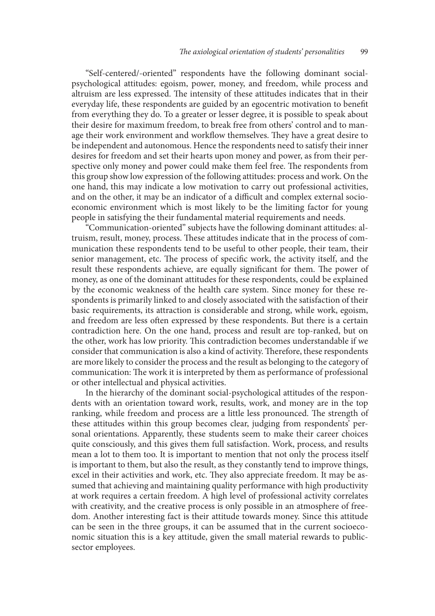"Self-centered/-oriented" respondents have the following dominant socialpsychological attitudes: egoism, power, money, and freedom, while process and altruism are less expressed. The intensity of these attitudes indicates that in their everyday life, these respondents are guided by an egocentric motivation to beneft from everything they do. To a greater or lesser degree, it is possible to speak about their desire for maximum freedom, to break free from others' control and to manage their work environment and workflow themselves. They have a great desire to be independent and autonomous. Hence the respondents need to satisfy their inner desires for freedom and set their hearts upon money and power, as from their perspective only money and power could make them feel free. The respondents from this group show low expression of the following attitudes: process and work. On the one hand, this may indicate a low motivation to carry out professional activities, and on the other, it may be an indicator of a difficult and complex external socioeconomic environment which is most likely to be the limiting factor for young people in satisfying the their fundamental material requirements and needs.

"Communication-oriented" subjects have the following dominant attitudes: altruism, result, money, process. These attitudes indicate that in the process of communication these respondents tend to be useful to other people, their team, their senior management, etc. The process of specific work, the activity itself, and the result these respondents achieve, are equally significant for them. The power of money, as one of the dominant attitudes for these respondents, could be explained by the economic weakness of the health care system. Since money for these respondents is primarily linked to and closely associated with the satisfaction of their basic requirements, its attraction is considerable and strong, while work, egoism, and freedom are less ofen expressed by these respondents. But there is a certain contradiction here. On the one hand, process and result are top-ranked, but on the other, work has low priority. This contradiction becomes understandable if we consider that communication is also a kind of activity. Therefore, these respondents are more likely to consider the process and the result as belonging to the category of communication: The work it is interpreted by them as performance of professional or other intellectual and physical activities.

In the hierarchy of the dominant social-psychological attitudes of the respondents with an orientation toward work, results, work, and money are in the top ranking, while freedom and process are a little less pronounced. The strength of these attitudes within this group becomes clear, judging from respondents' personal orientations. Apparently, these students seem to make their career choices quite consciously, and this gives them full satisfaction. Work, process, and results mean a lot to them too. It is important to mention that not only the process itself is important to them, but also the result, as they constantly tend to improve things, excel in their activities and work, etc. They also appreciate freedom. It may be assumed that achieving and maintaining quality performance with high productivity at work requires a certain freedom. A high level of professional activity correlates with creativity, and the creative process is only possible in an atmosphere of freedom. Another interesting fact is their attitude towards money. Since this attitude can be seen in the three groups, it can be assumed that in the current socioeconomic situation this is a key attitude, given the small material rewards to publicsector employees.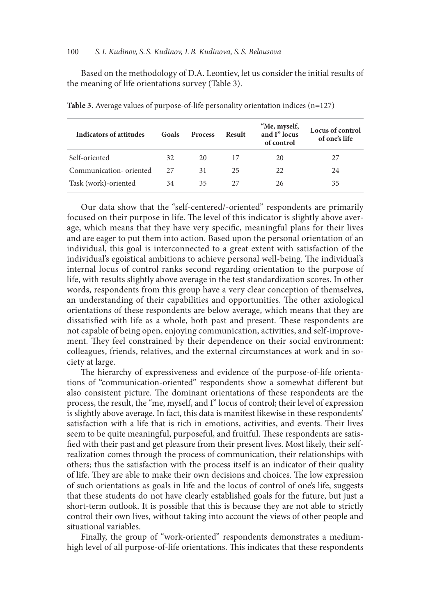#### 100 *S.I. Kudinov, S. S. Kudinov, I.B. Kudinova, S. S. Belousova*

Based on the methodology of D.A. Leontiev, let us consider the initial results of the meaning of life orientations survey (Table 3).

| Indicators of attitudes | Goals | <b>Process</b> | Result | "Me, myself,<br>and I" locus<br>of control | Locus of control<br>of one's life |
|-------------------------|-------|----------------|--------|--------------------------------------------|-----------------------------------|
| Self-oriented           | 32    | 20             | 17     | 20                                         | 27                                |
| Communication-oriented  | 27    | 31             | 25     | 22                                         | 24                                |
| Task (work)-oriented    | 34    | 35             | 27     | 26                                         | 35                                |

**Table 3.** Average values of purpose-of-life personality orientation indices (n=127)

Our data show that the "self-centered/-oriented" respondents are primarily focused on their purpose in life. The level of this indicator is slightly above average, which means that they have very specifc, meaningful plans for their lives and are eager to put them into action. Based upon the personal orientation of an individual, this goal is interconnected to a great extent with satisfaction of the individual's egoistical ambitions to achieve personal well-being. The individual's internal locus of control ranks second regarding orientation to the purpose of life, with results slightly above average in the test standardization scores. In other words, respondents from this group have a very clear conception of themselves, an understanding of their capabilities and opportunities. The other axiological orientations of these respondents are below average, which means that they are dissatisfied with life as a whole, both past and present. These respondents are not capable of being open, enjoying communication, activities, and self-improvement. They feel constrained by their dependence on their social environment: colleagues, friends, relatives, and the external circumstances at work and in society at large.

The hierarchy of expressiveness and evidence of the purpose-of-life orientations of "communication-oriented" respondents show a somewhat diferent but also consistent picture. The dominant orientations of these respondents are the process, the result, the "me, myself, and I" locus of control; their level of expression is slightly above average. In fact, this data is manifest likewise in these respondents' satisfaction with a life that is rich in emotions, activities, and events. Their lives seem to be quite meaningful, purposeful, and fruitful. These respondents are satisfed with their past and get pleasure from their present lives. Most likely, their selfrealization comes through the process of communication, their relationships with others; thus the satisfaction with the process itself is an indicator of their quality of life. They are able to make their own decisions and choices. The low expression of such orientations as goals in life and the locus of control of one's life, suggests that these students do not have clearly established goals for the future, but just a short-term outlook. It is possible that this is because they are not able to strictly control their own lives, without taking into account the views of other people and situational variables.

Finally, the group of "work-oriented" respondents demonstrates a mediumhigh level of all purpose-of-life orientations. This indicates that these respondents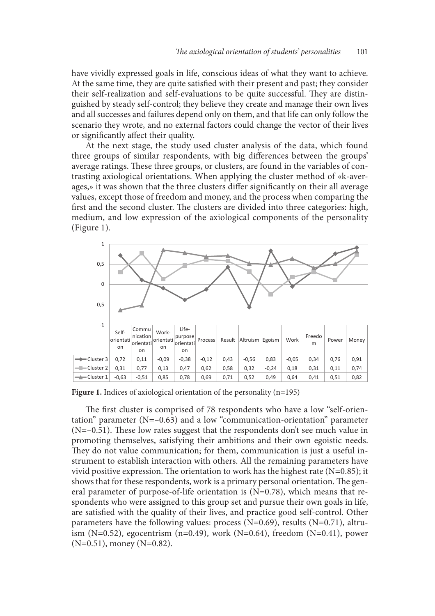have vividly expressed goals in life, conscious ideas of what they want to achieve. At the same time, they are quite satisfed with their present and past; they consider their self-realization and self-evaluations to be quite successful. They are distinguished by steady self-control; they believe they create and manage their own lives and all successes and failures depend only on them, and that life can only follow the scenario they wrote, and no external factors could change the vector of their lives or signifcantly afect their quality.

At the next stage, the study used cluster analysis of the data, which found three groups of similar respondents, with big diferences between the groups' average ratings. These three groups, or clusters, are found in the variables of contrasting axiological orientations. When applying the cluster method of «k-averages,» it was shown that the three clusters difer signifcantly on their all average values, except those of freedom and money, and the process when comparing the first and the second cluster. The clusters are divided into three categories: high, medium, and low expression of the axiological components of the personality (Figure 1).



Figure 1. Indices of axiological orientation of the personality (n=195)

The first cluster is comprised of 78 respondents who have a low "self-orientation" parameter (N=–0.63) and a low "communication-orientation" parameter  $(N=-0.51)$ . These low rates suggest that the respondents don't see much value in promoting themselves, satisfying their ambitions and their own egoistic needs. They do not value communication; for them, communication is just a useful instrument to establish interaction with others. All the remaining parameters have vivid positive expression. The orientation to work has the highest rate  $(N=0.85)$ ; it shows that for these respondents, work is a primary personal orientation. The general parameter of purpose-of-life orientation is (N=0.78), which means that respondents who were assigned to this group set and pursue their own goals in life, are satisfed with the quality of their lives, and practice good self-control. Other parameters have the following values: process ( $N=0.69$ ), results ( $N=0.71$ ), altruism (N=0.52), egocentrism (n=0.49), work (N=0.64), freedom (N=0.41), power (N=0.51), money (N=0.82).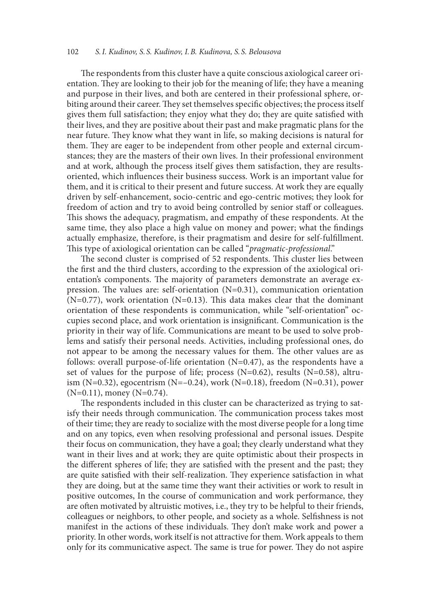#### 102 *S.I. Kudinov, S. S. Kudinov, I.B. Kudinova, S. S. Belousova*

The respondents from this cluster have a quite conscious axiological career orientation. They are looking to their job for the meaning of life; they have a meaning and purpose in their lives, and both are centered in their professional sphere, orbiting around their career. They set themselves specific objectives; the process itself gives them full satisfaction; they enjoy what they do; they are quite satisfed with their lives, and they are positive about their past and make pragmatic plans for the near future. They know what they want in life, so making decisions is natural for them. They are eager to be independent from other people and external circumstances; they are the masters of their own lives. In their professional environment and at work, although the process itself gives them satisfaction, they are resultsoriented, which infuences their business success. Work is an important value for them, and it is critical to their present and future success. At work they are equally driven by self-enhancement, socio-centric and ego-centric motives; they look for freedom of action and try to avoid being controlled by senior staff or colleagues. Tis shows the adequacy, pragmatism, and empathy of these respondents. At the same time, they also place a high value on money and power; what the fndings actually emphasize, therefore, is their pragmatism and desire for self-fulfllment. This type of axiological orientation can be called "pragmatic-professional."

The second cluster is comprised of 52 respondents. This cluster lies between the frst and the third clusters, according to the expression of the axiological orientation's components. The majority of parameters demonstrate an average expression. The values are: self-orientation  $(N=0.31)$ , communication orientation  $(N=0.77)$ , work orientation  $(N=0.13)$ . This data makes clear that the dominant orientation of these respondents is communication, while "self-orientation" occupies second place, and work orientation is insignifcant. Communication is the priority in their way of life. Communications are meant to be used to solve problems and satisfy their personal needs. Activities, including professional ones, do not appear to be among the necessary values for them. The other values are as follows: overall purpose-of-life orientation (N=0.47), as the respondents have a set of values for the purpose of life; process  $(N=0.62)$ , results  $(N=0.58)$ , altruism (N=0.32), egocentrism (N=-0.24), work (N=0.18), freedom (N=0.31), power  $(N=0.11)$ , money  $(N=0.74)$ .

The respondents included in this cluster can be characterized as trying to satisfy their needs through communication. The communication process takes most of their time; they are ready to socialize with the most diverse people for a long time and on any topics, even when resolving professional and personal issues. Despite their focus on communication, they have a goal; they clearly understand what they want in their lives and at work; they are quite optimistic about their prospects in the diferent spheres of life; they are satisfed with the present and the past; they are quite satisfied with their self-realization. They experience satisfaction in what they are doing, but at the same time they want their activities or work to result in positive outcomes, In the course of communication and work performance, they are often motivated by altruistic motives, i.e., they try to be helpful to their friends, colleagues or neighbors, to other people, and society as a whole. Selfshness is not manifest in the actions of these individuals. They don't make work and power a priority. In other words, work itself is not attractive for them. Work appeals to them only for its communicative aspect. The same is true for power. They do not aspire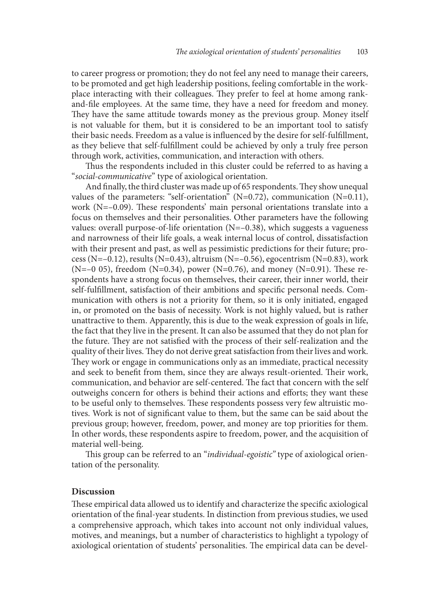to career progress or promotion; they do not feel any need to manage their careers, to be promoted and get high leadership positions, feeling comfortable in the workplace interacting with their colleagues. They prefer to feel at home among rankand-fle employees. At the same time, they have a need for freedom and money. They have the same attitude towards money as the previous group. Money itself is not valuable for them, but it is considered to be an important tool to satisfy their basic needs. Freedom as a value is infuenced by the desire for self-fulfllment, as they believe that self-fulfllment could be achieved by only a truly free person through work, activities, communication, and interaction with others.

Thus the respondents included in this cluster could be referred to as having a "*social-communicative*" type of axiological orientation.

And finally, the third cluster was made up of 65 respondents. They show unequal values of the parameters: "self-orientation" (N=0.72), communication (N=0.11), work  $(N=-0.09)$ . These respondents' main personal orientations translate into a focus on themselves and their personalities. Other parameters have the following values: overall purpose-of-life orientation (N=–0.38), which suggests a vagueness and narrowness of their life goals, a weak internal locus of control, dissatisfaction with their present and past, as well as pessimistic predictions for their future; process (N=–0.12), results (N=0.43), altruism (N=–0.56), egocentrism (N=0.83), work (N=–0 05), freedom (N=0.34), power (N=0.76), and money (N=0.91). These respondents have a strong focus on themselves, their career, their inner world, their self-fulfllment, satisfaction of their ambitions and specifc personal needs. Communication with others is not a priority for them, so it is only initiated, engaged in, or promoted on the basis of necessity. Work is not highly valued, but is rather unattractive to them. Apparently, this is due to the weak expression of goals in life, the fact that they live in the present. It can also be assumed that they do not plan for the future. They are not satisfied with the process of their self-realization and the quality of their lives. They do not derive great satisfaction from their lives and work. They work or engage in communications only as an immediate, practical necessity and seek to benefit from them, since they are always result-oriented. Their work, communication, and behavior are self-centered. The fact that concern with the self outweighs concern for others is behind their actions and eforts; they want these to be useful only to themselves. These respondents possess very few altruistic motives. Work is not of signifcant value to them, but the same can be said about the previous group; however, freedom, power, and money are top priorities for them. In other words, these respondents aspire to freedom, power, and the acquisition of material well-being.

This group can be referred to an "*individual-egoistic*" type of axiological orientation of the personality.

#### **Discussion**

These empirical data allowed us to identify and characterize the specific axiological orientation of the fnal-year students. In distinction from previous studies, we used a comprehensive approach, which takes into account not only individual values, motives, and meanings, but a number of characteristics to highlight a typology of axiological orientation of students' personalities. The empirical data can be devel-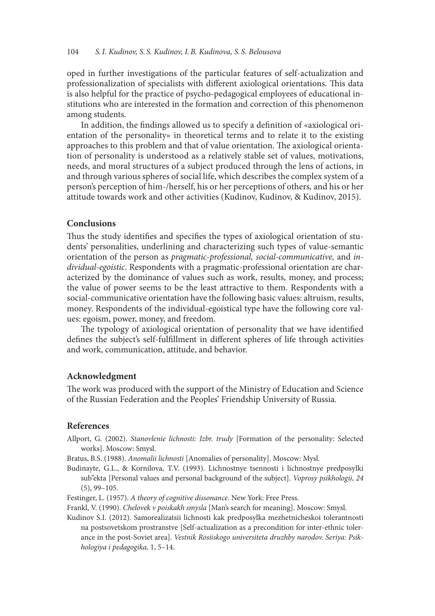#### 104 *S.I. Kudinov, S. S. Kudinov, I.B. Kudinova, S. S. Belousova*

oped in further investigations of the particular features of self-actualization and professionalization of specialists with different axiological orientations. This data is also helpful for the practice of psycho-pedagogical employees of educational institutions who are interested in the formation and correction of this phenomenon among students.

In addition, the fndings allowed us to specify a defnition of «axiological orientation of the personality» in theoretical terms and to relate it to the existing approaches to this problem and that of value orientation. The axiological orientation of personality is understood as a relatively stable set of values, motivations, needs, and moral structures of a subject produced through the lens of actions, in and through various spheres of social life, which describes the complex system of a person's perception of him-/herself, his or her perceptions of others*,* and his or her attitude towards work and other activities (Kudinov, Kudinov, & Kudinov, 2015).

#### **Conclusions**

Thus the study identifies and specifies the types of axiological orientation of students' personalities, underlining and characterizing such types of value-semantic orientation of the person as *pragmatic-professional, social-communicative,* and *individual-egoistic*. Respondents with a pragmatic-professional orientation are characterized by the dominance of values such as work, results, money, and process; the value of power seems to be the least attractive to them. Respondents with a social-communicative orientation have the following basic values: altruism, results, money. Respondents of the individual-egoistical type have the following core values: egoism, power, money, and freedom.

The typology of axiological orientation of personality that we have identified defnes the subject's self-fulfllment in diferent spheres of life through activities and work, communication, attitude, and behavior.

### **Acknowledgment**

The work was produced with the support of the Ministry of Education and Science of the Russian Federation and the Peoples' Friendship University of Russia.

#### **References**

- Allport, G. (2002). *Stanovlenie lichnosti: Izbr. trudy* [Formation of the personality: Selected works]. Moscow: Smysl.
- Bratus, B.S. (1988). *Anomalii lichnosti* [Anomalies of personality]. Moscow: Mysl.
- Budinayte, G.L., & Kornilova, T.V. (1993). Lichnostnye tsennosti i lichnostnye predposylki sub''ekta [Personal values and personal background of the subject]. *Voprosy psikhologii*, *24* (5), 99–105.
- Festinger, L. (1957). *A theory of cognitive dissonance*. New York: Free Press.
- Frankl, V. (1990). *Chelovek v poiskakh smysla* [Man's search for meaning]. Moscow: Smysl.
- Kudinov S.I. (2012). Samorealizatsii lichnosti kak predposylka mezhetnicheskoi tolerantnosti na postsovetskom prostranstve [Self-actualization as a precondition for inter-ethnic tolerance in the post-Soviet area]. *Vestnik Rosiiskogo universiteta druzhby narodov. Seriya: Psikhologiya i pedagogika,* 1, 5–14.